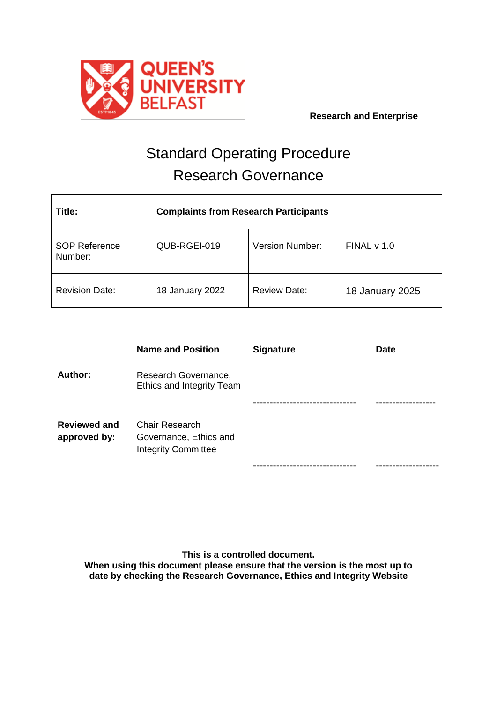

# Standard Operating Procedure Research Governance

| Title:                          | <b>Complaints from Research Participants</b> |                        |                 |
|---------------------------------|----------------------------------------------|------------------------|-----------------|
| <b>SOP Reference</b><br>Number: | QUB-RGEI-019                                 | <b>Version Number:</b> | FINAL v 1.0     |
| <b>Revision Date:</b>           | 18 January 2022                              | <b>Review Date:</b>    | 18 January 2025 |

|                                     | <b>Name and Position</b>                                                      | <b>Signature</b> | <b>Date</b> |
|-------------------------------------|-------------------------------------------------------------------------------|------------------|-------------|
| Author:                             | Research Governance,<br>Ethics and Integrity Team                             |                  |             |
|                                     |                                                                               |                  |             |
| <b>Reviewed and</b><br>approved by: | <b>Chair Research</b><br>Governance, Ethics and<br><b>Integrity Committee</b> |                  |             |
|                                     |                                                                               |                  |             |

**This is a controlled document. When using this document please ensure that the version is the most up to date by checking the Research Governance, Ethics and Integrity Website**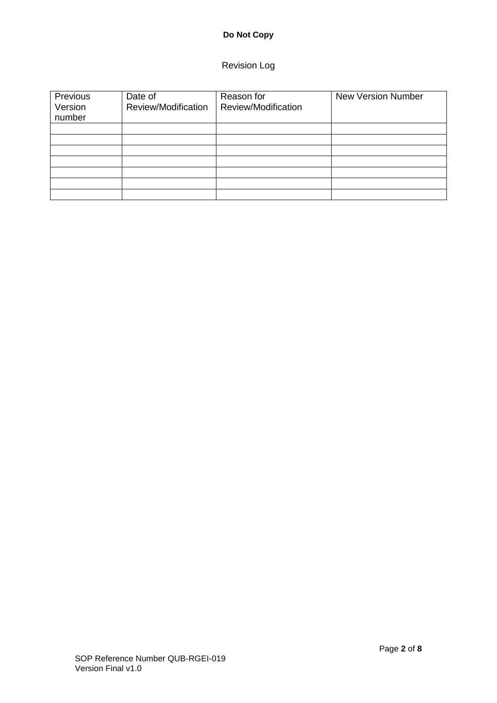## **Do Not Copy**

## Revision Log

| Previous<br>Version<br>number | Date of<br>Review/Modification | Reason for<br>Review/Modification | <b>New Version Number</b> |
|-------------------------------|--------------------------------|-----------------------------------|---------------------------|
|                               |                                |                                   |                           |
|                               |                                |                                   |                           |
|                               |                                |                                   |                           |
|                               |                                |                                   |                           |
|                               |                                |                                   |                           |
|                               |                                |                                   |                           |
|                               |                                |                                   |                           |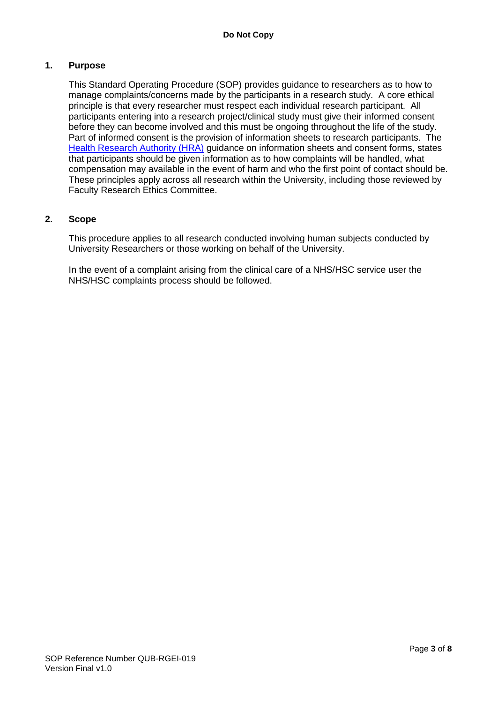#### **1. Purpose**

This Standard Operating Procedure (SOP) provides guidance to researchers as to how to manage complaints/concerns made by the participants in a research study. A core ethical principle is that every researcher must respect each individual research participant. All participants entering into a research project/clinical study must give their informed consent before they can become involved and this must be ongoing throughout the life of the study. Part of informed consent is the provision of information sheets to research participants. The [Health Research Authority](http://www.hra-decisiontools.org.uk/consent/examples.html) (HRA) guidance on information sheets and consent forms, states that participants should be given information as to how complaints will be handled, what compensation may available in the event of harm and who the first point of contact should be. These principles apply across all research within the University, including those reviewed by Faculty Research Ethics Committee.

#### **2. Scope**

This procedure applies to all research conducted involving human subjects conducted by University Researchers or those working on behalf of the University.

In the event of a complaint arising from the clinical care of a NHS/HSC service user the NHS/HSC complaints process should be followed.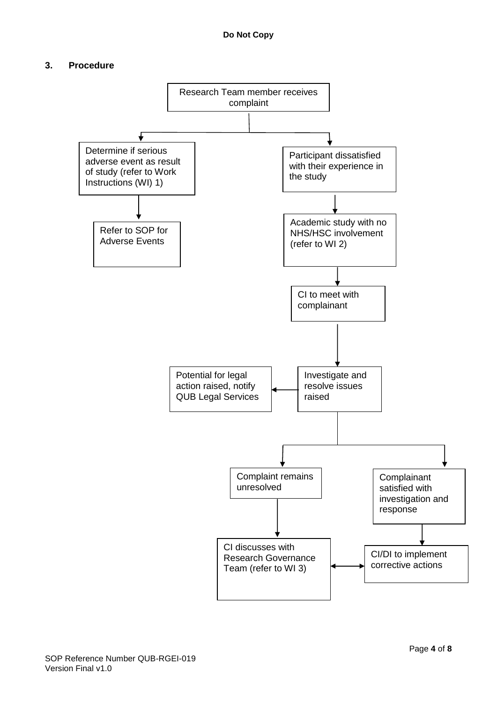#### **3. Procedure**

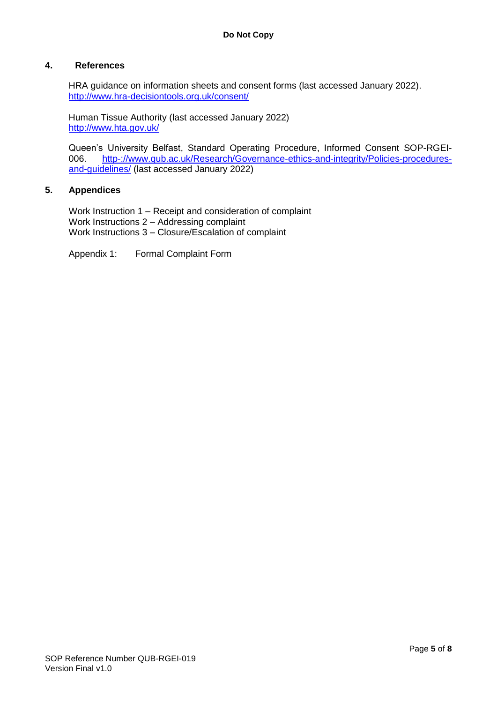#### **4. References**

HRA guidance on information sheets and consent forms (last accessed January 2022). <http://www.hra-decisiontools.org.uk/consent/>

Human Tissue Authority (last accessed January 2022) <http://www.hta.gov.uk/>

Queen's University Belfast, Standard Operating Procedure, Informed Consent SOP-RGEI006. [http-://www.qub.ac.uk/Research/Governance-ethics-and-integrity/Policies-procedures](http://www.qub.ac.uk/Research/Governance-ethics-and-integrity/Policies-procedures-and-guidelines/)[and-guidelines/](http://www.qub.ac.uk/Research/Governance-ethics-and-integrity/Policies-procedures-and-guidelines/) (last accessed January 2022)

#### **5. Appendices**

Work Instruction 1 – Receipt and consideration of complaint Work Instructions 2 – Addressing complaint Work Instructions 3 – Closure/Escalation of complaint

Appendix 1: Formal Complaint Form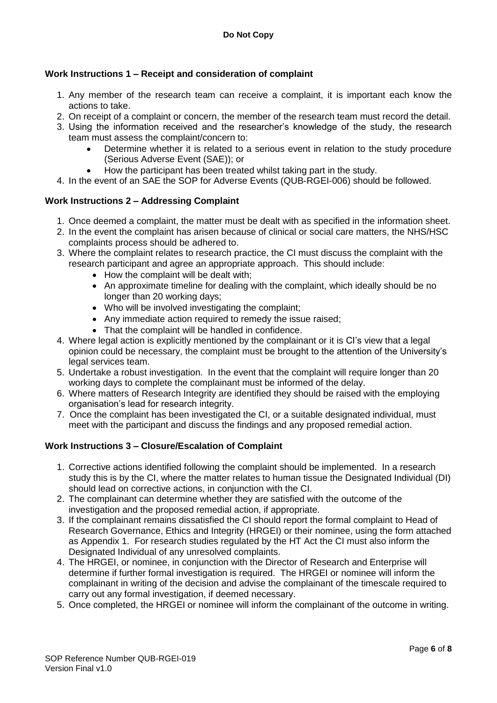#### **Work Instructions 1 – Receipt and consideration of complaint**

- 1. Any member of the research team can receive a complaint, it is important each know the actions to take.
- 2. On receipt of a complaint or concern, the member of the research team must record the detail.
- 3. Using the information received and the researcher's knowledge of the study, the research team must assess the complaint/concern to:
	- Determine whether it is related to a serious event in relation to the study procedure (Serious Adverse Event (SAE)); or
	- How the participant has been treated whilst taking part in the study.
- 4. In the event of an SAE the SOP for Adverse Events (QUB-RGEI-006) should be followed.

#### **Work Instructions 2 – Addressing Complaint**

- 1. Once deemed a complaint, the matter must be dealt with as specified in the information sheet.
- 2. In the event the complaint has arisen because of clinical or social care matters, the NHS/HSC complaints process should be adhered to.
- 3. Where the complaint relates to research practice, the CI must discuss the complaint with the research participant and agree an appropriate approach. This should include:
	- How the complaint will be dealt with;
	- An approximate timeline for dealing with the complaint, which ideally should be no longer than 20 working days;
	- Who will be involved investigating the complaint;
	- Any immediate action required to remedy the issue raised;
	- That the complaint will be handled in confidence.
- 4. Where legal action is explicitly mentioned by the complainant or it is CI's view that a legal opinion could be necessary, the complaint must be brought to the attention of the University's legal services team.
- 5. Undertake a robust investigation. In the event that the complaint will require longer than 20 working days to complete the complainant must be informed of the delay.
- 6. Where matters of Research Integrity are identified they should be raised with the employing organisation's lead for research integrity.
- 7. Once the complaint has been investigated the CI, or a suitable designated individual, must meet with the participant and discuss the findings and any proposed remedial action.

#### **Work Instructions 3 – Closure/Escalation of Complaint**

- 1. Corrective actions identified following the complaint should be implemented. In a research study this is by the CI, where the matter relates to human tissue the Designated Individual (DI) should lead on corrective actions, in conjunction with the CI.
- 2. The complainant can determine whether they are satisfied with the outcome of the investigation and the proposed remedial action, if appropriate.
- 3. If the complainant remains dissatisfied the CI should report the formal complaint to Head of Research Governance, Ethics and Integrity (HRGEI) or their nominee, using the form attached as Appendix 1. For research studies regulated by the HT Act the CI must also inform the Designated Individual of any unresolved complaints.
- 4. The HRGEI, or nominee, in conjunction with the Director of Research and Enterprise will determine if further formal investigation is required. The HRGEI or nominee will inform the complainant in writing of the decision and advise the complainant of the timescale required to carry out any formal investigation, if deemed necessary.
- 5. Once completed, the HRGEI or nominee will inform the complainant of the outcome in writing.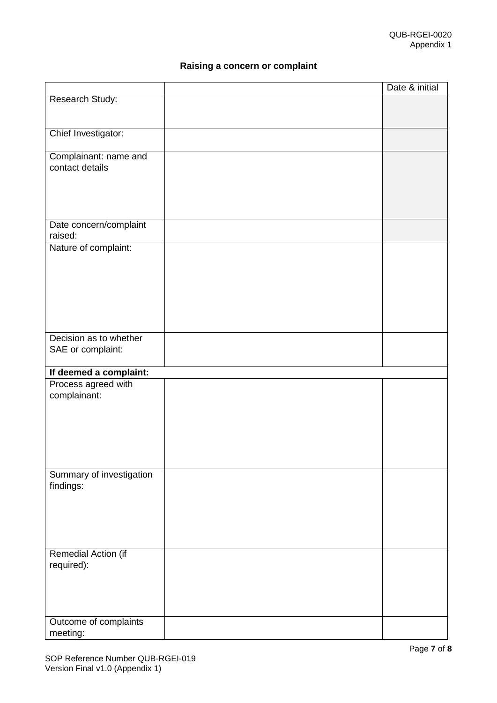## **Raising a concern or complaint**

|                          | Date & initial |
|--------------------------|----------------|
| Research Study:          |                |
|                          |                |
|                          |                |
| Chief Investigator:      |                |
|                          |                |
| Complainant: name and    |                |
| contact details          |                |
|                          |                |
|                          |                |
|                          |                |
|                          |                |
| Date concern/complaint   |                |
| raised:                  |                |
| Nature of complaint:     |                |
|                          |                |
|                          |                |
|                          |                |
|                          |                |
|                          |                |
|                          |                |
|                          |                |
| Decision as to whether   |                |
| SAE or complaint:        |                |
|                          |                |
| If deemed a complaint:   |                |
| Process agreed with      |                |
| complainant:             |                |
|                          |                |
|                          |                |
|                          |                |
|                          |                |
|                          |                |
|                          |                |
| Summary of investigation |                |
| findings:                |                |
|                          |                |
|                          |                |
|                          |                |
|                          |                |
|                          |                |
| Remedial Action (if      |                |
| required):               |                |
|                          |                |
|                          |                |
|                          |                |
|                          |                |
| Outcome of complaints    |                |
| meeting:                 |                |